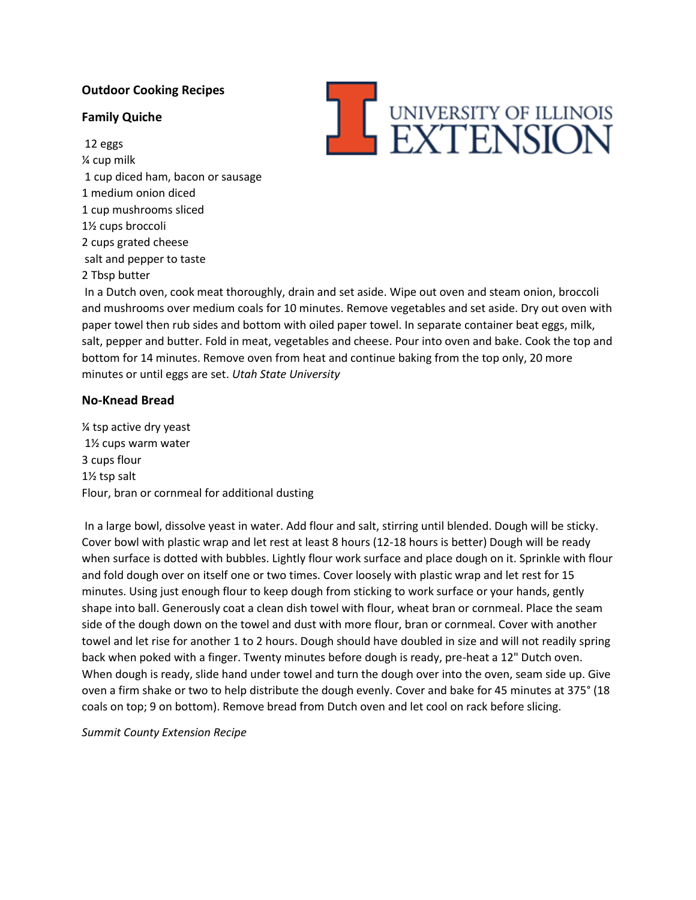# **Outdoor Cooking Recipes**

## **Family Quiche**

12 eggs ¼ cup milk 1 cup diced ham, bacon or sausage 1 medium onion diced 1 cup mushrooms sliced 1½ cups broccoli 2 cups grated cheese salt and pepper to taste 2 Tbsp butter



In a Dutch oven, cook meat thoroughly, drain and set aside. Wipe out oven and steam onion, broccoli and mushrooms over medium coals for 10 minutes. Remove vegetables and set aside. Dry out oven with paper towel then rub sides and bottom with oiled paper towel. In separate container beat eggs, milk, salt, pepper and butter. Fold in meat, vegetables and cheese. Pour into oven and bake. Cook the top and bottom for 14 minutes. Remove oven from heat and continue baking from the top only, 20 more minutes or until eggs are set. *Utah State University*

## **No-Knead Bread**

¼ tsp active dry yeast 1½ cups warm water 3 cups flour 1½ tsp salt Flour, bran or cornmeal for additional dusting

In a large bowl, dissolve yeast in water. Add flour and salt, stirring until blended. Dough will be sticky. Cover bowl with plastic wrap and let rest at least 8 hours (12-18 hours is better) Dough will be ready when surface is dotted with bubbles. Lightly flour work surface and place dough on it. Sprinkle with flour and fold dough over on itself one or two times. Cover loosely with plastic wrap and let rest for 15 minutes. Using just enough flour to keep dough from sticking to work surface or your hands, gently shape into ball. Generously coat a clean dish towel with flour, wheat bran or cornmeal. Place the seam side of the dough down on the towel and dust with more flour, bran or cornmeal. Cover with another towel and let rise for another 1 to 2 hours. Dough should have doubled in size and will not readily spring back when poked with a finger. Twenty minutes before dough is ready, pre-heat a 12" Dutch oven. When dough is ready, slide hand under towel and turn the dough over into the oven, seam side up. Give oven a firm shake or two to help distribute the dough evenly. Cover and bake for 45 minutes at 375° (18 coals on top; 9 on bottom). Remove bread from Dutch oven and let cool on rack before slicing.

*Summit County Extension Recipe*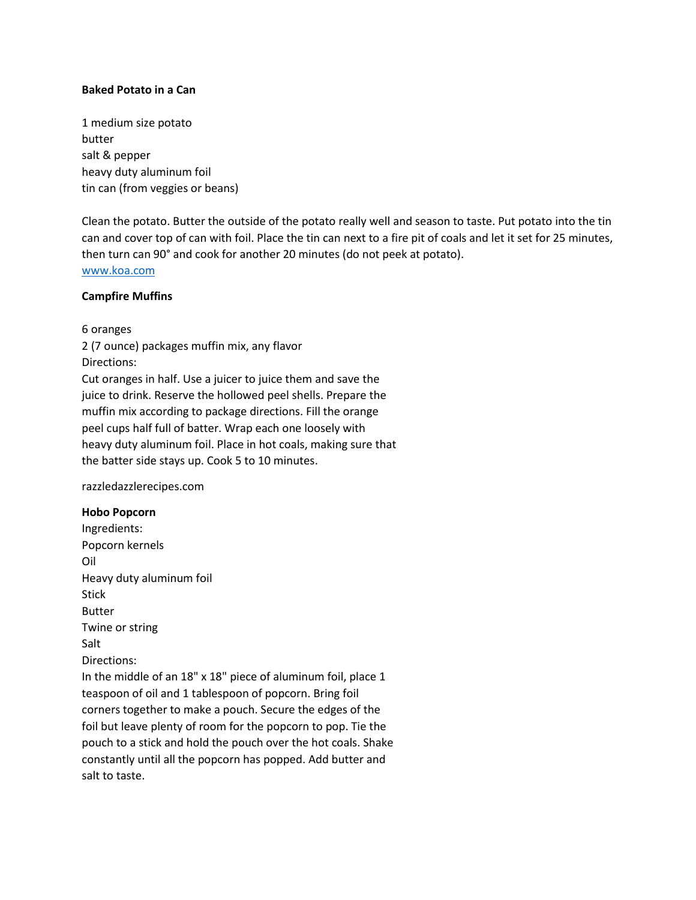#### **Baked Potato in a Can**

1 medium size potato butter salt & pepper heavy duty aluminum foil tin can (from veggies or beans)

Clean the potato. Butter the outside of the potato really well and season to taste. Put potato into the tin can and cover top of can with foil. Place the tin can next to a fire pit of coals and let it set for 25 minutes, then turn can 90° and cook for another 20 minutes (do not peek at potato). [www.koa.com](http://www.koa.com/)

#### **Campfire Muffins**

6 oranges

2 (7 ounce) packages muffin mix, any flavor Directions: Cut oranges in half. Use a juicer to juice them and save the juice to drink. Reserve the hollowed peel shells. Prepare the muffin mix according to package directions. Fill the orange peel cups half full of batter. Wrap each one loosely with heavy duty aluminum foil. Place in hot coals, making sure that the batter side stays up. Cook 5 to 10 minutes.

razzledazzlerecipes.com

#### **Hobo Popcorn**

Ingredients: Popcorn kernels Oil Heavy duty aluminum foil Stick Butter Twine or string Salt Directions: In the middle of an 18" x 18" piece of aluminum foil, place 1 teaspoon of oil and 1 tablespoon of popcorn. Bring foil corners together to make a pouch. Secure the edges of the foil but leave plenty of room for the popcorn to pop. Tie the pouch to a stick and hold the pouch over the hot coals. Shake constantly until all the popcorn has popped. Add butter and salt to taste.